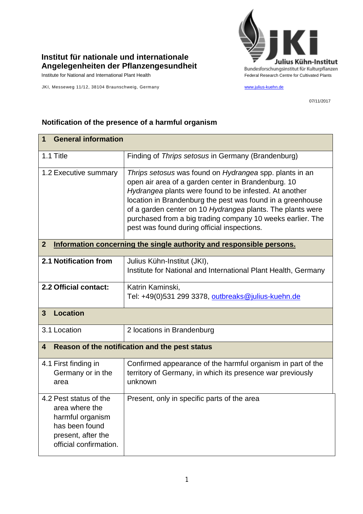## **Institut für nationale und internationale Angelegenheiten der Pflanzengesundheit**

JKI, Messeweg 11/12, 38104 Braunschweig, Germany [www.julius-kuehn.de](http://www.julius-kuehn.de/)



07/11/2017

| <b>General information</b><br>1                                                                                                |                                                                                                                                                                                                                                                                                                                                                                                                                   |  |
|--------------------------------------------------------------------------------------------------------------------------------|-------------------------------------------------------------------------------------------------------------------------------------------------------------------------------------------------------------------------------------------------------------------------------------------------------------------------------------------------------------------------------------------------------------------|--|
| 1.1 Title                                                                                                                      | Finding of Thrips setosus in Germany (Brandenburg)                                                                                                                                                                                                                                                                                                                                                                |  |
| 1.2 Executive summary                                                                                                          | Thrips setosus was found on Hydrangea spp. plants in an<br>open air area of a garden center in Brandenburg. 10<br>Hydrangea plants were found to be infested. At another<br>location in Brandenburg the pest was found in a greenhouse<br>of a garden center on 10 Hydrangea plants. The plants were<br>purchased from a big trading company 10 weeks earlier. The<br>pest was found during official inspections. |  |
| $\boldsymbol{2}$<br>Information concerning the single authority and responsible persons.                                       |                                                                                                                                                                                                                                                                                                                                                                                                                   |  |
| 2.1 Notification from                                                                                                          | Julius Kühn-Institut (JKI),<br>Institute for National and International Plant Health, Germany                                                                                                                                                                                                                                                                                                                     |  |
| 2.2 Official contact:                                                                                                          | Katrin Kaminski,<br>Tel: +49(0)531 299 3378, outbreaks@julius-kuehn.de                                                                                                                                                                                                                                                                                                                                            |  |
| <b>Location</b><br>$\overline{3}$                                                                                              |                                                                                                                                                                                                                                                                                                                                                                                                                   |  |
| 3.1 Location                                                                                                                   | 2 locations in Brandenburg                                                                                                                                                                                                                                                                                                                                                                                        |  |
| Reason of the notification and the pest status<br>$\boldsymbol{4}$                                                             |                                                                                                                                                                                                                                                                                                                                                                                                                   |  |
| 4.1 First finding in<br>Germany or in the<br>area                                                                              | Confirmed appearance of the harmful organism in part of the<br>territory of Germany, in which its presence war previously<br>unknown                                                                                                                                                                                                                                                                              |  |
| 4.2 Pest status of the<br>area where the<br>harmful organism<br>has been found<br>present, after the<br>official confirmation. | Present, only in specific parts of the area                                                                                                                                                                                                                                                                                                                                                                       |  |

## **Notification of the presence of a harmful organism**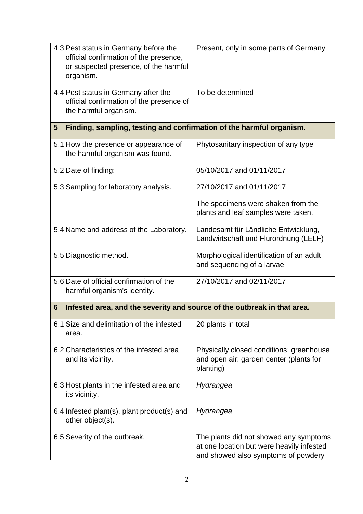| 4.3 Pest status in Germany before the<br>official confirmation of the presence,<br>or suspected presence, of the harmful<br>organism. | Present, only in some parts of Germany                                                                                     |  |  |
|---------------------------------------------------------------------------------------------------------------------------------------|----------------------------------------------------------------------------------------------------------------------------|--|--|
| 4.4 Pest status in Germany after the<br>official confirmation of the presence of<br>the harmful organism.                             | To be determined                                                                                                           |  |  |
| Finding, sampling, testing and confirmation of the harmful organism.<br>5                                                             |                                                                                                                            |  |  |
| 5.1 How the presence or appearance of<br>the harmful organism was found.                                                              | Phytosanitary inspection of any type                                                                                       |  |  |
| 5.2 Date of finding:                                                                                                                  | 05/10/2017 and 01/11/2017                                                                                                  |  |  |
| 5.3 Sampling for laboratory analysis.                                                                                                 | 27/10/2017 and 01/11/2017                                                                                                  |  |  |
|                                                                                                                                       | The specimens were shaken from the<br>plants and leaf samples were taken.                                                  |  |  |
| 5.4 Name and address of the Laboratory.                                                                                               | Landesamt für Ländliche Entwicklung,<br>Landwirtschaft und Flurordnung (LELF)                                              |  |  |
| 5.5 Diagnostic method.                                                                                                                | Morphological identification of an adult<br>and sequencing of a larvae                                                     |  |  |
| 5.6 Date of official confirmation of the<br>harmful organism's identity.                                                              | 27/10/2017 and 02/11/2017                                                                                                  |  |  |
| Infested area, and the severity and source of the outbreak in that area.<br>6                                                         |                                                                                                                            |  |  |
| 6.1 Size and delimitation of the infested<br>area.                                                                                    | 20 plants in total                                                                                                         |  |  |
| 6.2 Characteristics of the infested area<br>and its vicinity.                                                                         | Physically closed conditions: greenhouse<br>and open air: garden center (plants for<br>planting)                           |  |  |
| 6.3 Host plants in the infested area and<br>its vicinity.                                                                             | Hydrangea                                                                                                                  |  |  |
| 6.4 Infested plant(s), plant product(s) and<br>other object(s).                                                                       | Hydrangea                                                                                                                  |  |  |
| 6.5 Severity of the outbreak.                                                                                                         | The plants did not showed any symptoms<br>at one location but were heavily infested<br>and showed also symptoms of powdery |  |  |